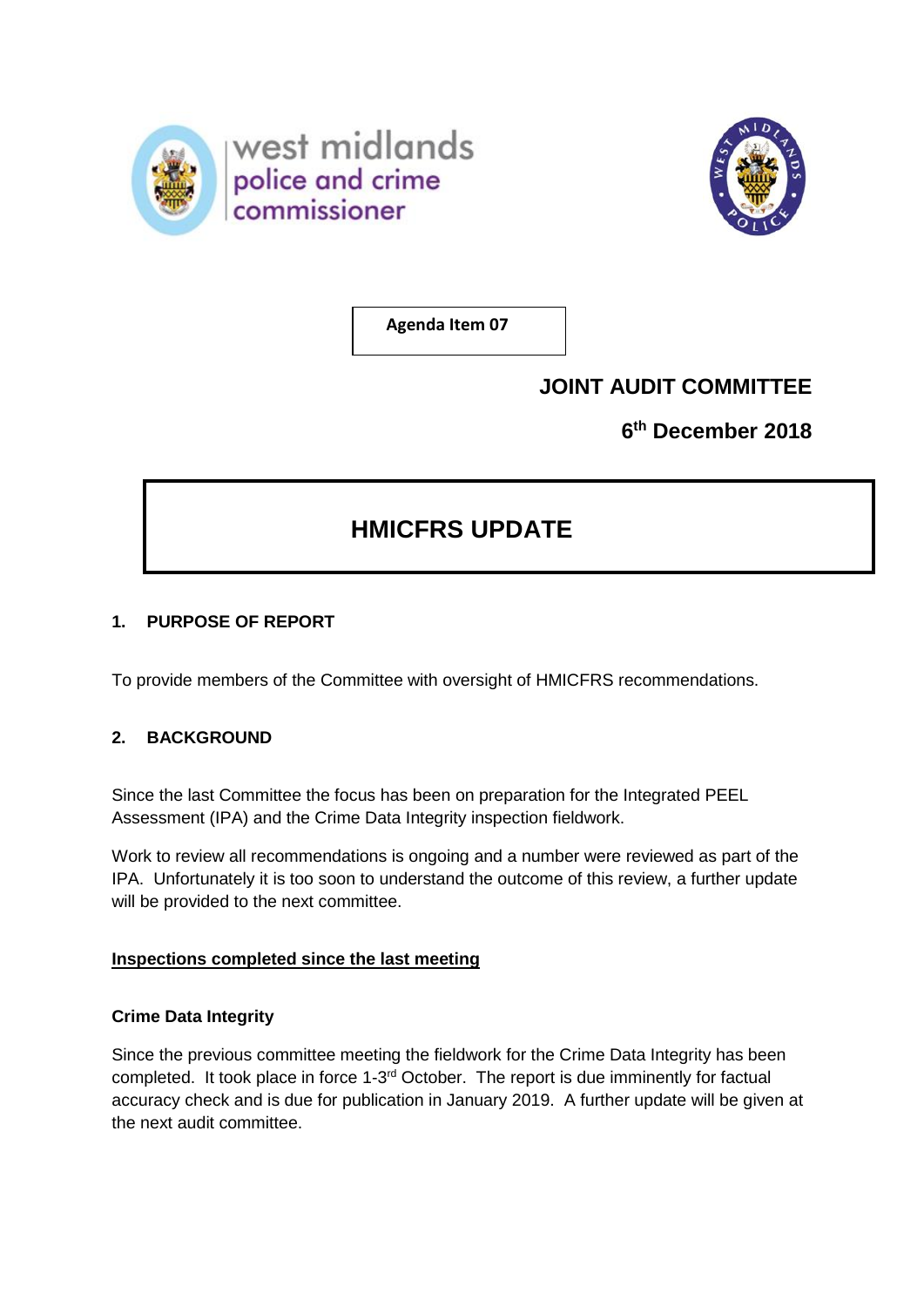



**Agenda Item 07**

## **JOINT AUDIT COMMITTEE**

**6 th December 2018**

# **HMICFRS UPDATE**

## **1. PURPOSE OF REPORT**

To provide members of the Committee with oversight of HMICFRS recommendations.

## **2. BACKGROUND**

Since the last Committee the focus has been on preparation for the Integrated PEEL Assessment (IPA) and the Crime Data Integrity inspection fieldwork.

Work to review all recommendations is ongoing and a number were reviewed as part of the IPA. Unfortunately it is too soon to understand the outcome of this review, a further update will be provided to the next committee.

## **Inspections completed since the last meeting**

## **Crime Data Integrity**

Since the previous committee meeting the fieldwork for the Crime Data Integrity has been completed. It took place in force 1-3<sup>rd</sup> October. The report is due imminently for factual accuracy check and is due for publication in January 2019. A further update will be given at the next audit committee.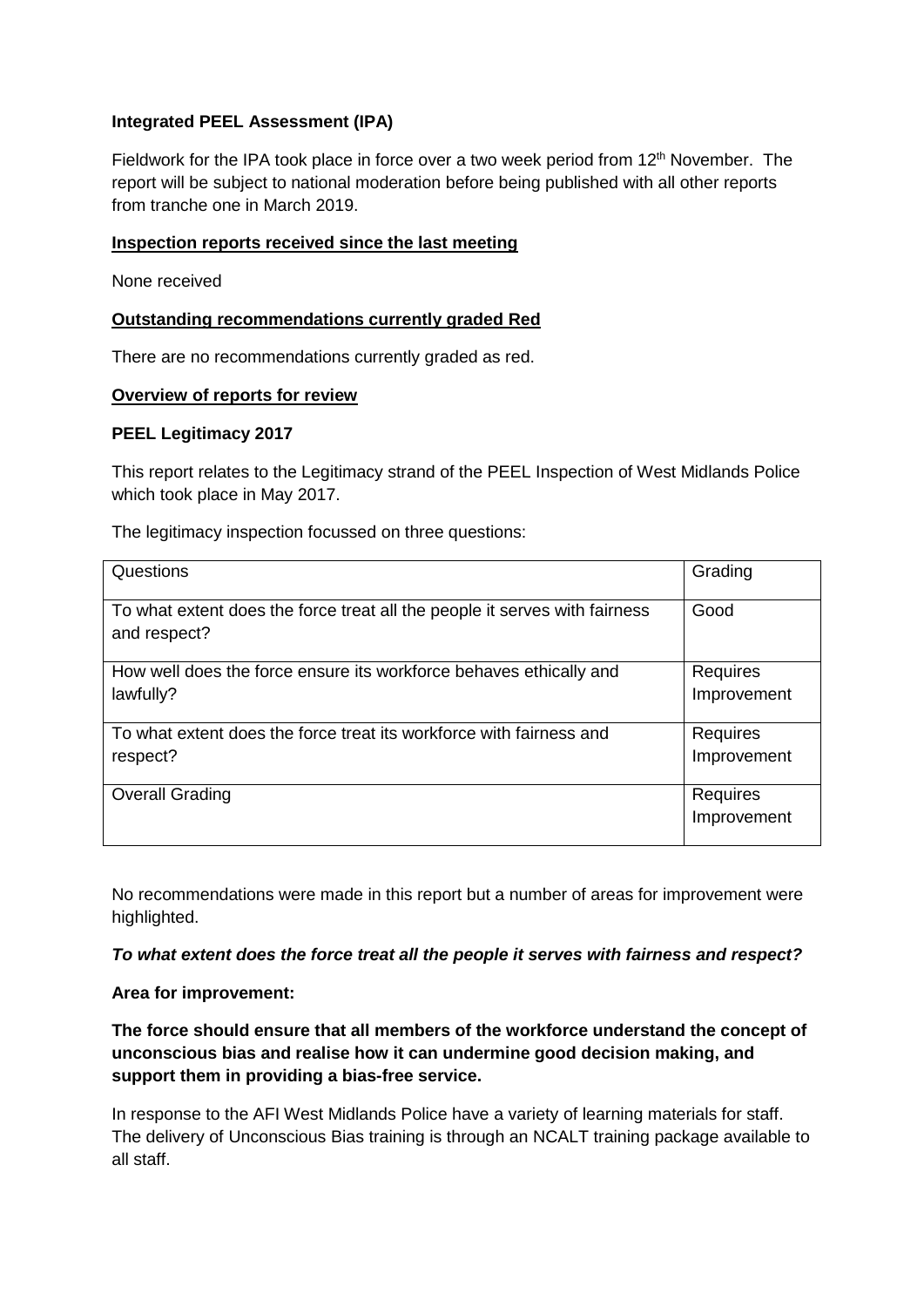#### **Integrated PEEL Assessment (IPA)**

Fieldwork for the IPA took place in force over a two week period from  $12<sup>th</sup>$  November. The report will be subject to national moderation before being published with all other reports from tranche one in March 2019.

#### **Inspection reports received since the last meeting**

None received

## **Outstanding recommendations currently graded Red**

There are no recommendations currently graded as red.

#### **Overview of reports for review**

#### **PEEL Legitimacy 2017**

This report relates to the Legitimacy strand of the PEEL Inspection of West Midlands Police which took place in May 2017.

The legitimacy inspection focussed on three questions:

| Questions                                                                                  | Grading     |
|--------------------------------------------------------------------------------------------|-------------|
| To what extent does the force treat all the people it serves with fairness<br>and respect? | Good        |
| How well does the force ensure its workforce behaves ethically and                         | Requires    |
| lawfully?                                                                                  | Improvement |
| To what extent does the force treat its workforce with fairness and                        | Requires    |
| respect?                                                                                   | Improvement |
| <b>Overall Grading</b>                                                                     | Requires    |
|                                                                                            | Improvement |

No recommendations were made in this report but a number of areas for improvement were highlighted.

*To what extent does the force treat all the people it serves with fairness and respect?*

#### **Area for improvement:**

**The force should ensure that all members of the workforce understand the concept of unconscious bias and realise how it can undermine good decision making, and support them in providing a bias-free service.**

In response to the AFI West Midlands Police have a variety of learning materials for staff. The delivery of Unconscious Bias training is through an NCALT training package available to all staff.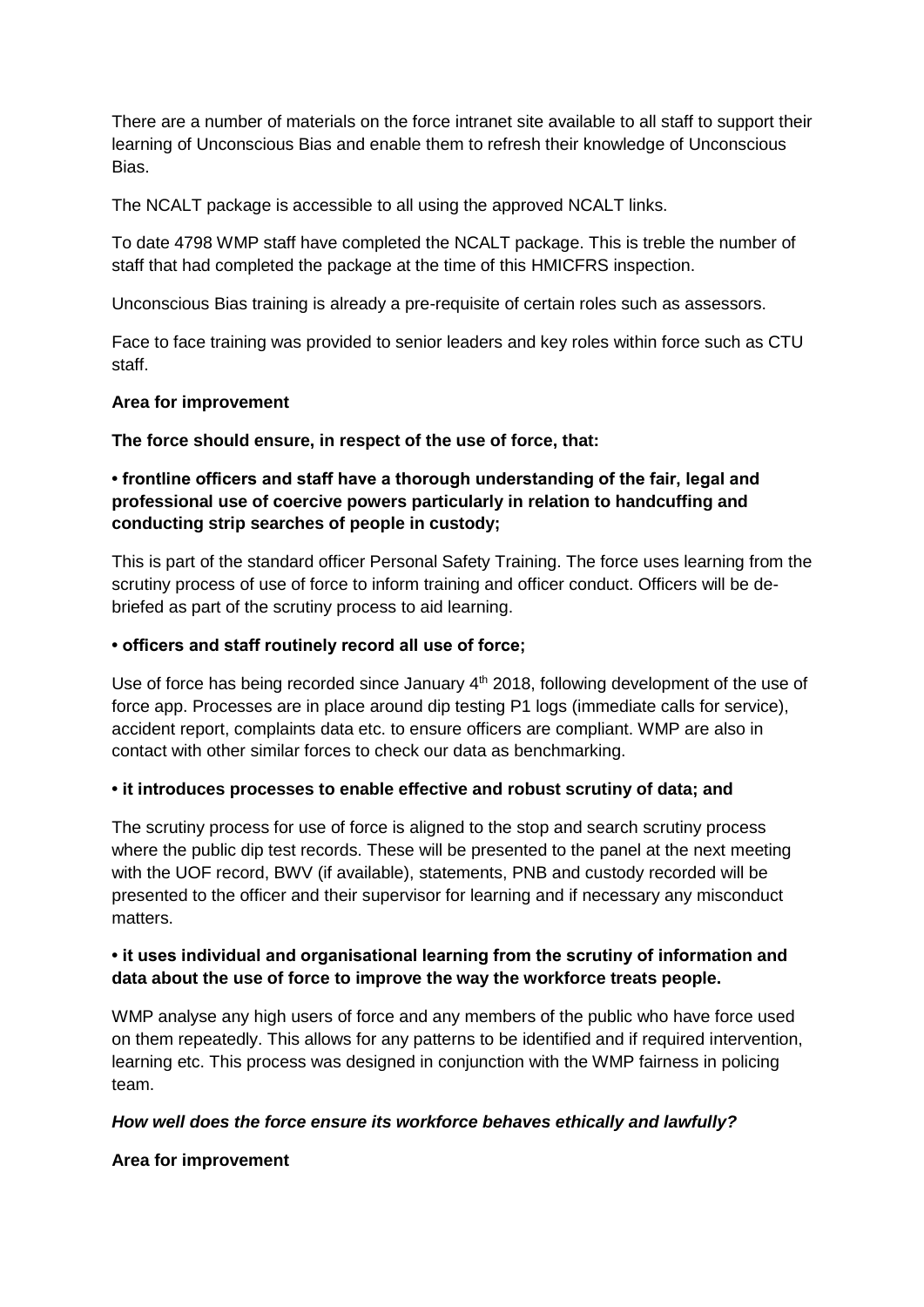There are a number of materials on the force intranet site available to all staff to support their learning of Unconscious Bias and enable them to refresh their knowledge of Unconscious Bias.

The NCALT package is accessible to all using the approved NCALT links.

To date 4798 WMP staff have completed the NCALT package. This is treble the number of staff that had completed the package at the time of this HMICFRS inspection.

Unconscious Bias training is already a pre-requisite of certain roles such as assessors.

Face to face training was provided to senior leaders and key roles within force such as CTU staff.

## **Area for improvement**

## **The force should ensure, in respect of the use of force, that:**

## **• frontline officers and staff have a thorough understanding of the fair, legal and professional use of coercive powers particularly in relation to handcuffing and conducting strip searches of people in custody;**

This is part of the standard officer Personal Safety Training. The force uses learning from the scrutiny process of use of force to inform training and officer conduct. Officers will be debriefed as part of the scrutiny process to aid learning.

#### **• officers and staff routinely record all use of force;**

Use of force has being recorded since January  $4<sup>th</sup>$  2018, following development of the use of force app. Processes are in place around dip testing P1 logs (immediate calls for service), accident report, complaints data etc. to ensure officers are compliant. WMP are also in contact with other similar forces to check our data as benchmarking.

#### **• it introduces processes to enable effective and robust scrutiny of data; and**

The scrutiny process for use of force is aligned to the stop and search scrutiny process where the public dip test records. These will be presented to the panel at the next meeting with the UOF record, BWV (if available), statements, PNB and custody recorded will be presented to the officer and their supervisor for learning and if necessary any misconduct matters.

## **• it uses individual and organisational learning from the scrutiny of information and data about the use of force to improve the way the workforce treats people.**

WMP analyse any high users of force and any members of the public who have force used on them repeatedly. This allows for any patterns to be identified and if required intervention, learning etc. This process was designed in conjunction with the WMP fairness in policing team.

## *How well does the force ensure its workforce behaves ethically and lawfully?*

#### **Area for improvement**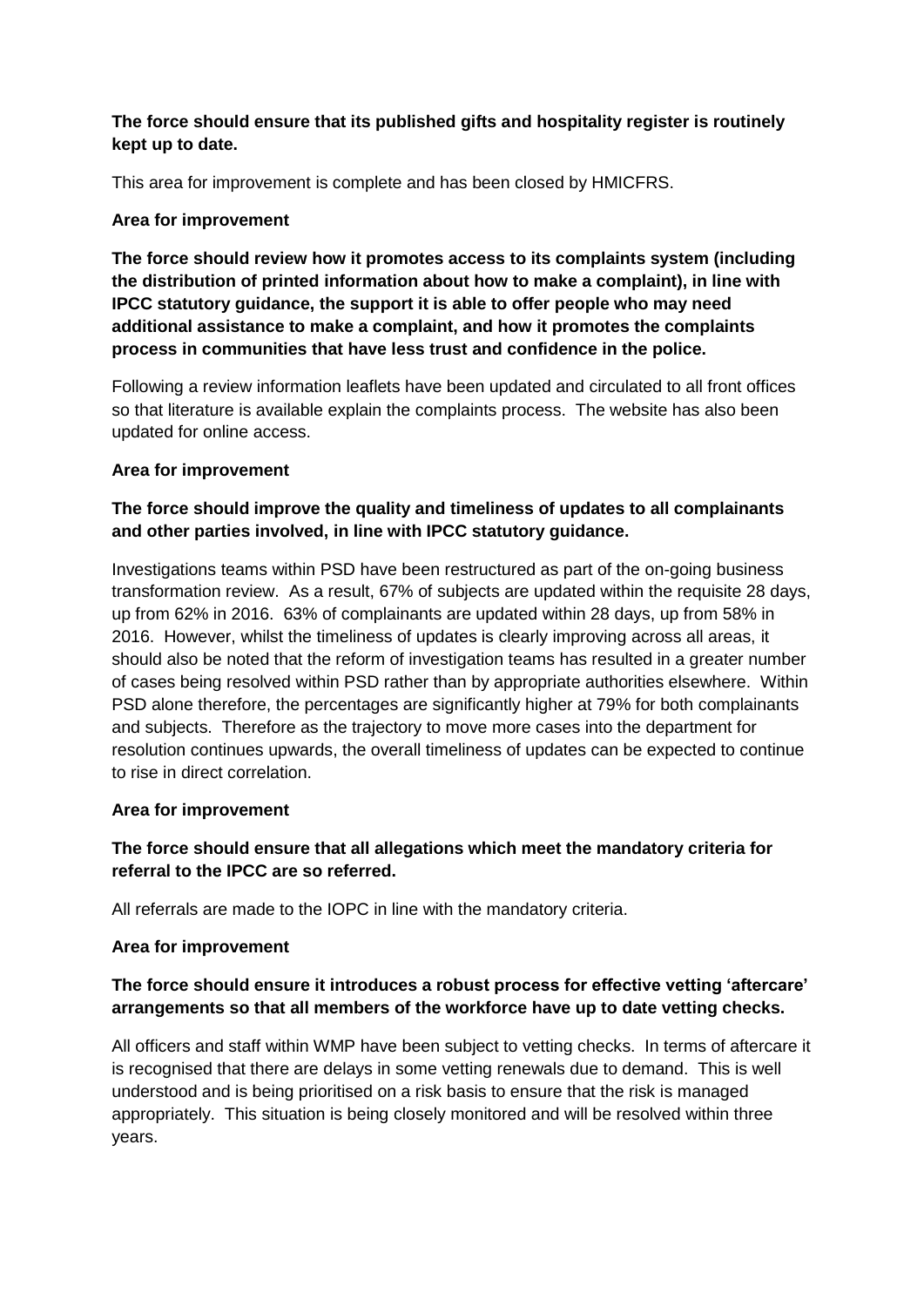## **The force should ensure that its published gifts and hospitality register is routinely kept up to date.**

This area for improvement is complete and has been closed by HMICFRS.

## **Area for improvement**

**The force should review how it promotes access to its complaints system (including the distribution of printed information about how to make a complaint), in line with IPCC statutory guidance, the support it is able to offer people who may need additional assistance to make a complaint, and how it promotes the complaints process in communities that have less trust and confidence in the police.**

Following a review information leaflets have been updated and circulated to all front offices so that literature is available explain the complaints process. The website has also been updated for online access.

#### **Area for improvement**

## **The force should improve the quality and timeliness of updates to all complainants and other parties involved, in line with IPCC statutory guidance.**

Investigations teams within PSD have been restructured as part of the on-going business transformation review. As a result, 67% of subjects are updated within the requisite 28 days, up from 62% in 2016. 63% of complainants are updated within 28 days, up from 58% in 2016. However, whilst the timeliness of updates is clearly improving across all areas, it should also be noted that the reform of investigation teams has resulted in a greater number of cases being resolved within PSD rather than by appropriate authorities elsewhere. Within PSD alone therefore, the percentages are significantly higher at 79% for both complainants and subjects. Therefore as the trajectory to move more cases into the department for resolution continues upwards, the overall timeliness of updates can be expected to continue to rise in direct correlation.

#### **Area for improvement**

## **The force should ensure that all allegations which meet the mandatory criteria for referral to the IPCC are so referred.**

All referrals are made to the IOPC in line with the mandatory criteria.

## **Area for improvement**

## **The force should ensure it introduces a robust process for effective vetting 'aftercare' arrangements so that all members of the workforce have up to date vetting checks.**

All officers and staff within WMP have been subject to vetting checks. In terms of aftercare it is recognised that there are delays in some vetting renewals due to demand. This is well understood and is being prioritised on a risk basis to ensure that the risk is managed appropriately. This situation is being closely monitored and will be resolved within three years.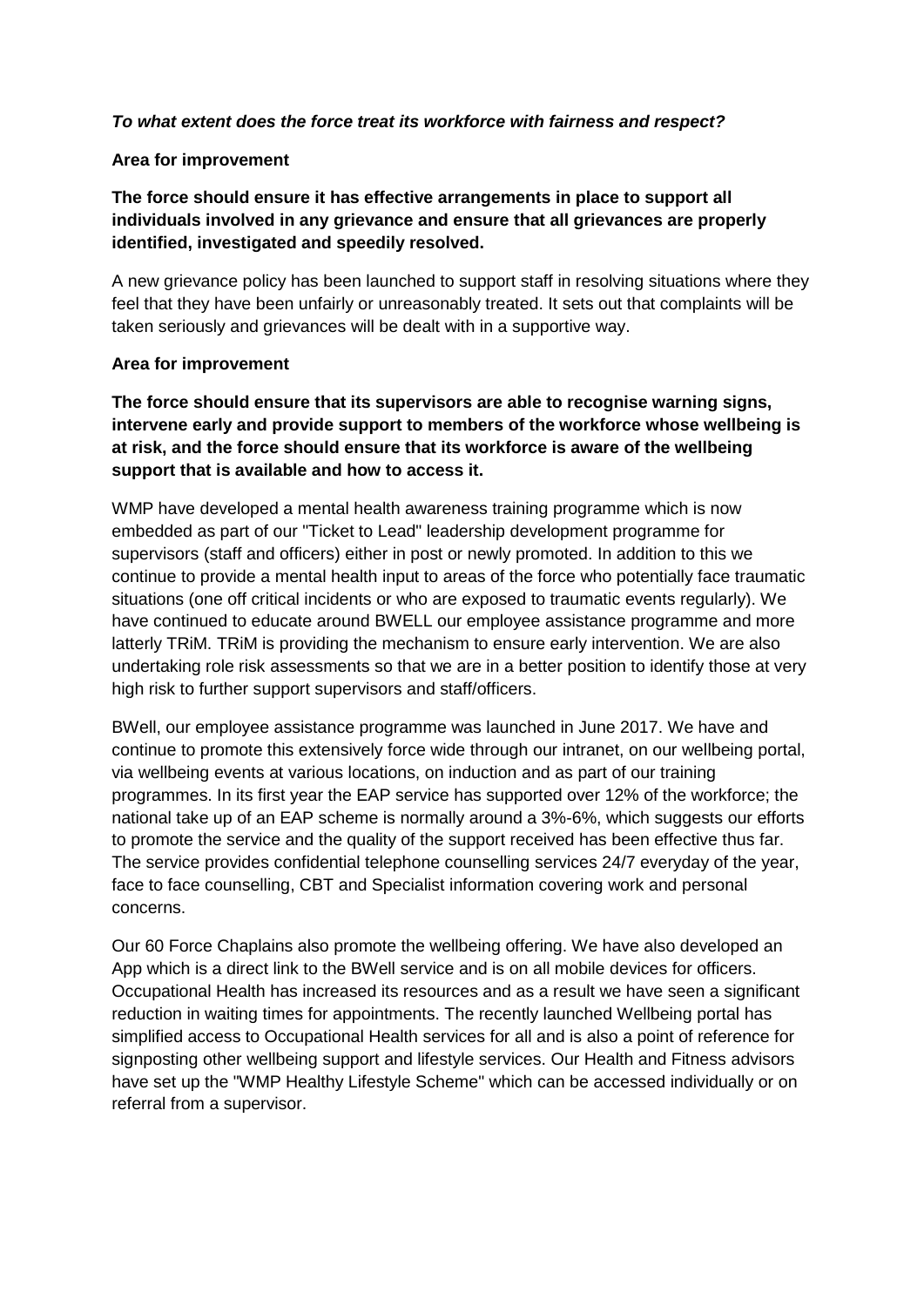#### *To what extent does the force treat its workforce with fairness and respect?*

#### **Area for improvement**

**The force should ensure it has effective arrangements in place to support all individuals involved in any grievance and ensure that all grievances are properly identified, investigated and speedily resolved.**

A new grievance policy has been launched to support staff in resolving situations where they feel that they have been unfairly or unreasonably treated. It sets out that complaints will be taken seriously and grievances will be dealt with in a supportive way.

#### **Area for improvement**

**The force should ensure that its supervisors are able to recognise warning signs, intervene early and provide support to members of the workforce whose wellbeing is at risk, and the force should ensure that its workforce is aware of the wellbeing support that is available and how to access it.**

WMP have developed a mental health awareness training programme which is now embedded as part of our "Ticket to Lead" leadership development programme for supervisors (staff and officers) either in post or newly promoted. In addition to this we continue to provide a mental health input to areas of the force who potentially face traumatic situations (one off critical incidents or who are exposed to traumatic events regularly). We have continued to educate around BWELL our employee assistance programme and more latterly TRiM. TRiM is providing the mechanism to ensure early intervention. We are also undertaking role risk assessments so that we are in a better position to identify those at very high risk to further support supervisors and staff/officers.

BWell, our employee assistance programme was launched in June 2017. We have and continue to promote this extensively force wide through our intranet, on our wellbeing portal, via wellbeing events at various locations, on induction and as part of our training programmes. In its first year the EAP service has supported over 12% of the workforce; the national take up of an EAP scheme is normally around a 3%-6%, which suggests our efforts to promote the service and the quality of the support received has been effective thus far. The service provides confidential telephone counselling services 24/7 everyday of the year, face to face counselling, CBT and Specialist information covering work and personal concerns.

Our 60 Force Chaplains also promote the wellbeing offering. We have also developed an App which is a direct link to the BWell service and is on all mobile devices for officers. Occupational Health has increased its resources and as a result we have seen a significant reduction in waiting times for appointments. The recently launched Wellbeing portal has simplified access to Occupational Health services for all and is also a point of reference for signposting other wellbeing support and lifestyle services. Our Health and Fitness advisors have set up the "WMP Healthy Lifestyle Scheme" which can be accessed individually or on referral from a supervisor.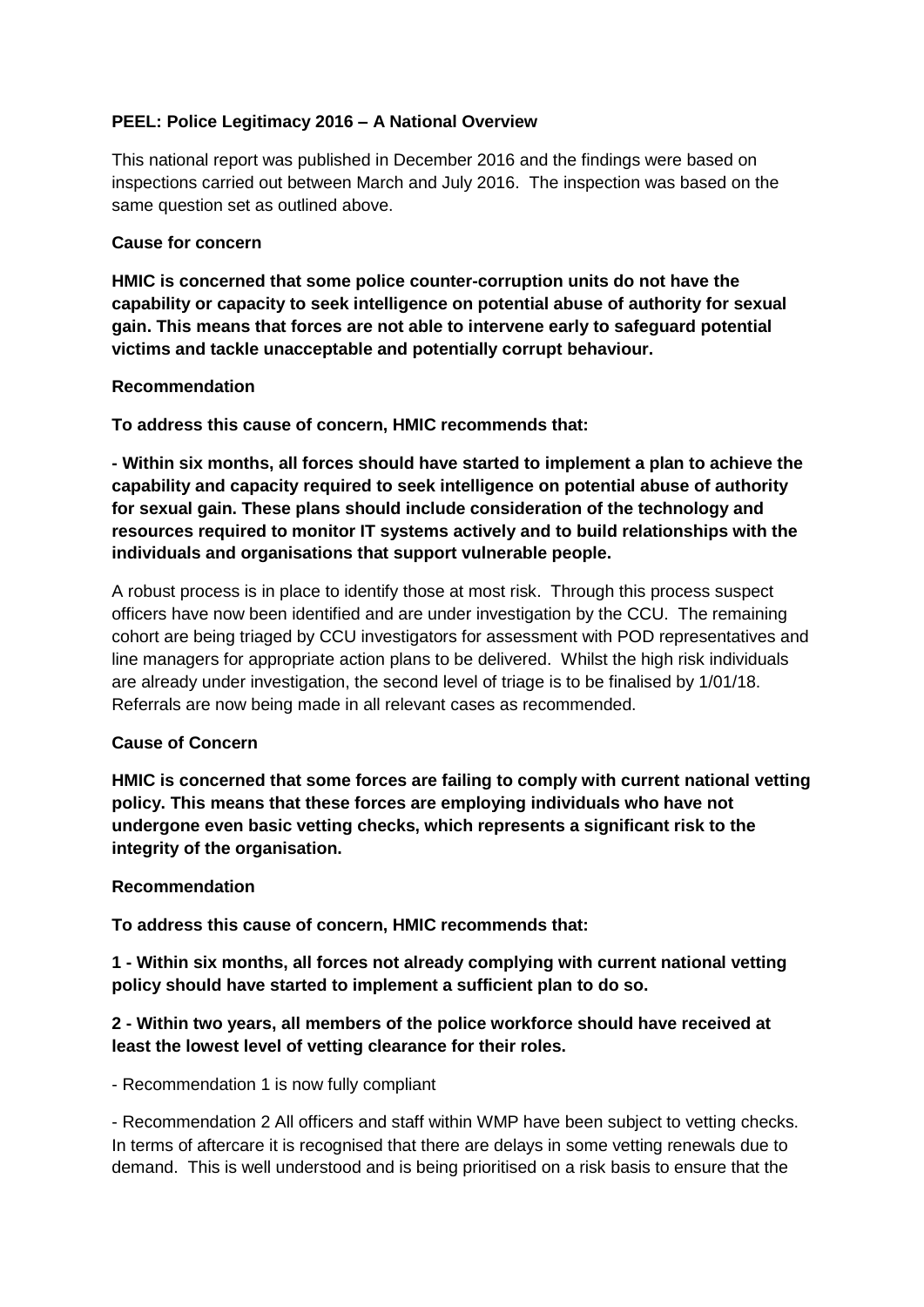## **PEEL: Police Legitimacy 2016 – A National Overview**

This national report was published in December 2016 and the findings were based on inspections carried out between March and July 2016. The inspection was based on the same question set as outlined above.

#### **Cause for concern**

**HMIC is concerned that some police counter-corruption units do not have the capability or capacity to seek intelligence on potential abuse of authority for sexual gain. This means that forces are not able to intervene early to safeguard potential victims and tackle unacceptable and potentially corrupt behaviour.**

#### **Recommendation**

**To address this cause of concern, HMIC recommends that:**

**- Within six months, all forces should have started to implement a plan to achieve the capability and capacity required to seek intelligence on potential abuse of authority for sexual gain. These plans should include consideration of the technology and resources required to monitor IT systems actively and to build relationships with the individuals and organisations that support vulnerable people.**

A robust process is in place to identify those at most risk. Through this process suspect officers have now been identified and are under investigation by the CCU. The remaining cohort are being triaged by CCU investigators for assessment with POD representatives and line managers for appropriate action plans to be delivered. Whilst the high risk individuals are already under investigation, the second level of triage is to be finalised by 1/01/18. Referrals are now being made in all relevant cases as recommended.

## **Cause of Concern**

**HMIC is concerned that some forces are failing to comply with current national vetting policy. This means that these forces are employing individuals who have not undergone even basic vetting checks, which represents a significant risk to the integrity of the organisation.**

#### **Recommendation**

**To address this cause of concern, HMIC recommends that:** 

**1 - Within six months, all forces not already complying with current national vetting policy should have started to implement a sufficient plan to do so.**

## **2 - Within two years, all members of the police workforce should have received at least the lowest level of vetting clearance for their roles.**

- Recommendation 1 is now fully compliant

- Recommendation 2 All officers and staff within WMP have been subject to vetting checks. In terms of aftercare it is recognised that there are delays in some vetting renewals due to demand. This is well understood and is being prioritised on a risk basis to ensure that the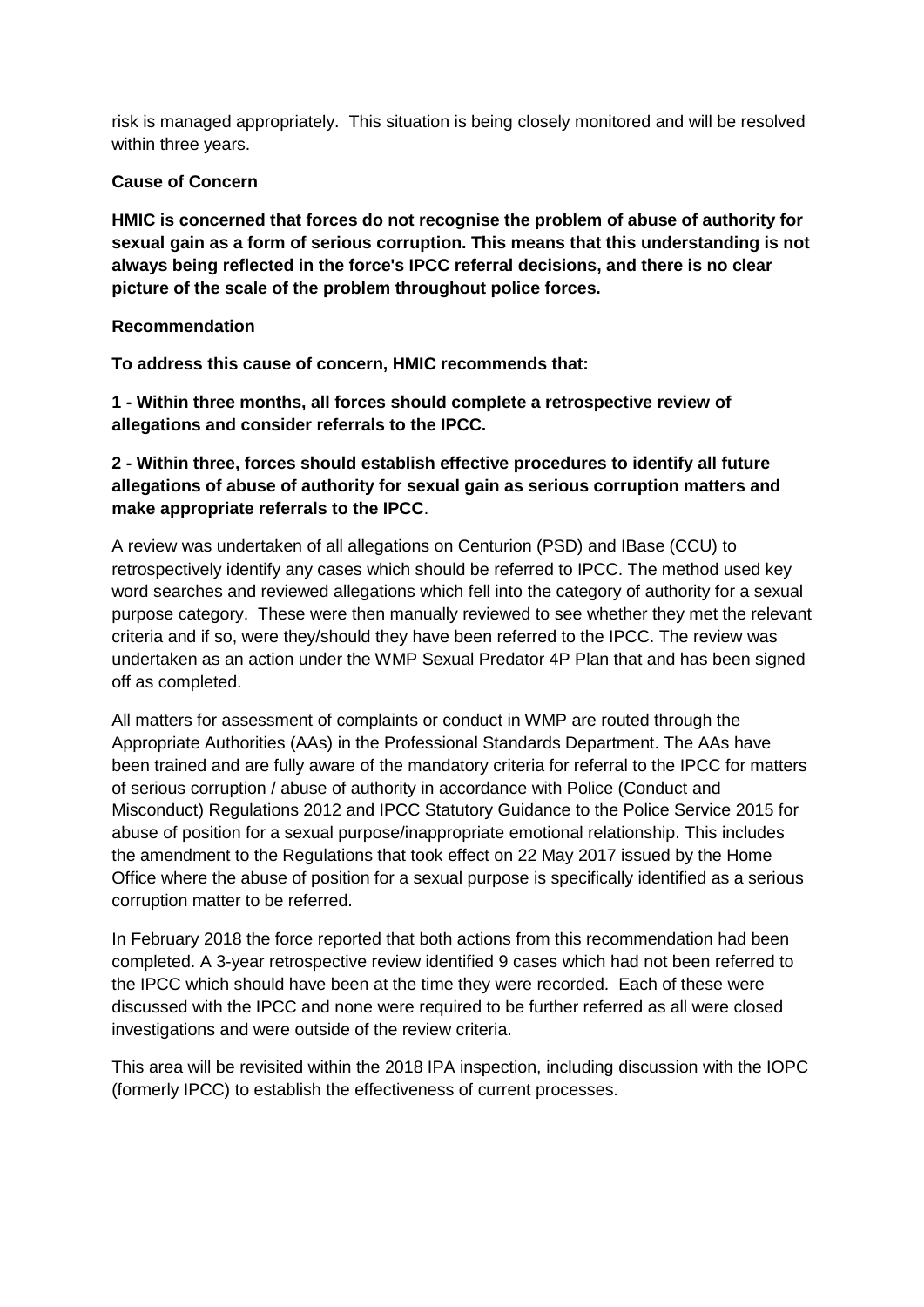risk is managed appropriately. This situation is being closely monitored and will be resolved within three years.

## **Cause of Concern**

**HMIC is concerned that forces do not recognise the problem of abuse of authority for sexual gain as a form of serious corruption. This means that this understanding is not always being reflected in the force's IPCC referral decisions, and there is no clear picture of the scale of the problem throughout police forces.**

## **Recommendation**

**To address this cause of concern, HMIC recommends that:**

**1 - Within three months, all forces should complete a retrospective review of allegations and consider referrals to the IPCC.**

## **2 - Within three, forces should establish effective procedures to identify all future allegations of abuse of authority for sexual gain as serious corruption matters and make appropriate referrals to the IPCC**.

A review was undertaken of all allegations on Centurion (PSD) and IBase (CCU) to retrospectively identify any cases which should be referred to IPCC. The method used key word searches and reviewed allegations which fell into the category of authority for a sexual purpose category. These were then manually reviewed to see whether they met the relevant criteria and if so, were they/should they have been referred to the IPCC. The review was undertaken as an action under the WMP Sexual Predator 4P Plan that and has been signed off as completed.

All matters for assessment of complaints or conduct in WMP are routed through the Appropriate Authorities (AAs) in the Professional Standards Department. The AAs have been trained and are fully aware of the mandatory criteria for referral to the IPCC for matters of serious corruption / abuse of authority in accordance with Police (Conduct and Misconduct) Regulations 2012 and IPCC Statutory Guidance to the Police Service 2015 for abuse of position for a sexual purpose/inappropriate emotional relationship. This includes the amendment to the Regulations that took effect on 22 May 2017 issued by the Home Office where the abuse of position for a sexual purpose is specifically identified as a serious corruption matter to be referred.

In February 2018 the force reported that both actions from this recommendation had been completed. A 3-year retrospective review identified 9 cases which had not been referred to the IPCC which should have been at the time they were recorded. Each of these were discussed with the IPCC and none were required to be further referred as all were closed investigations and were outside of the review criteria.

This area will be revisited within the 2018 IPA inspection, including discussion with the IOPC (formerly IPCC) to establish the effectiveness of current processes.